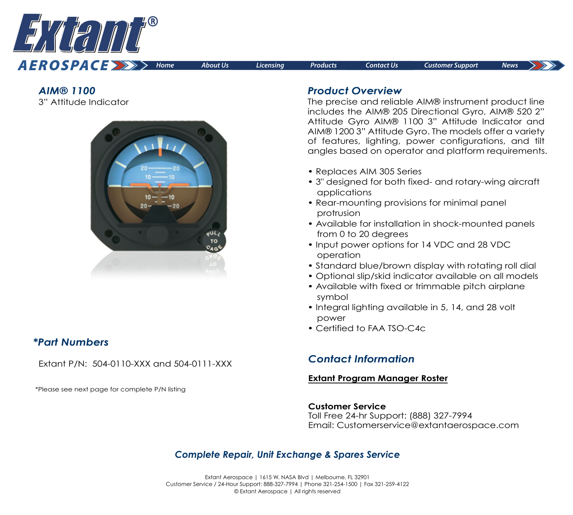

*AIM® 1100*  3" Attitude Indicator



## *\*Part Numbers*

Extant P/N: 504-0110-XXX and 504-0111-XXX

\*Please see next page for complete P/N listing

## *Product Overview*

The precise and reliable AIM® instrument product line includes the AIM® 205 Directional Gyro, AIM® 520 2" Attitude Gyro AIM® 1100 3" Attitude Indicator and AIM® 1200 3" Attitude Gyro. The models offer a variety of features, lighting, power configurations, and tilt angles based on operator and platform requirements.

- Replaces AIM 305 Series
- 3" designed for both fixed- and rotary-wing aircraft applications
- Rear-mounting provisions for minimal panel protrusion
- Available for installation in shock-mounted panels from 0 to 20 degrees
- Input power options for 14 VDC and 28 VDC operation
- Standard blue/brown display with rotating roll dial
- Optional slip/skid indicator available on all models
- Available with fixed or trimmable pitch airplane symbol
- Integral lighting available in 5, 14, and 28 volt power
- Certified to FAA TSO-C4c

# *Contact Information*

### **[Extant Program Manager Roster](https://extantaerospace.com/docs/Program_Manager_Roster.pdf)**

#### **Customer Service**

Toll Free 24-hr Support: (888) 327-7994 Email: Customerservice@extantaerospace.com

## *Complete Repair, Unit Exchange & Spares Service*

Extant Aerospace | 1615 W. NASA Blvd | Melbourne, FL 32901 Customer Service / 24-Hour Support: 888-327-7994 | Phone 321-254-1500 | Fax 321-259-4122 © Extant Aerospace | All rights reserved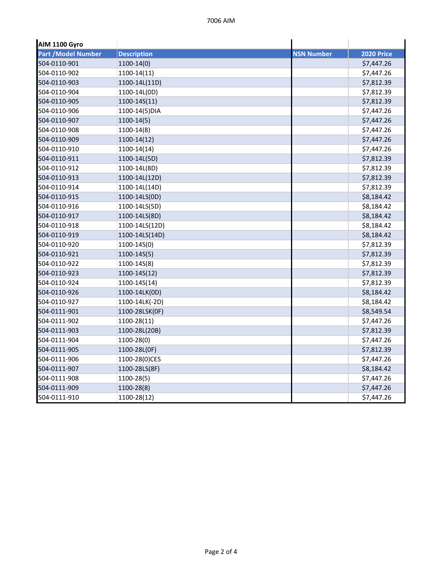| <b>AIM 1100 Gyro</b>       |                    |                   |                   |
|----------------------------|--------------------|-------------------|-------------------|
| <b>Part / Model Number</b> | <b>Description</b> | <b>NSN Number</b> | <b>2020 Price</b> |
| 504-0110-901               | $1100-14(0)$       |                   | \$7,447.26        |
| 504-0110-902               | $1100-14(11)$      |                   | \$7,447.26        |
| 504-0110-903               | 1100-14L(11D)      |                   | \$7,812.39        |
| 504-0110-904               | 1100-14L(0D)       |                   | \$7,812.39        |
| 504-0110-905               | 1100-14S(11)       |                   | \$7,812.39        |
| 504-0110-906               | 1100-14(5) DIA     |                   | \$7,447.26        |
| 504-0110-907               | $1100-14(5)$       |                   | \$7,447.26        |
| 504-0110-908               | $1100-14(8)$       |                   | \$7,447.26        |
| 504-0110-909               | $1100-14(12)$      |                   | \$7,447.26        |
| 504-0110-910               | 1100-14(14)        |                   | \$7,447.26        |
| 504-0110-911               | 1100-14L(5D)       |                   | \$7,812.39        |
| 504-0110-912               | 1100-14L(8D)       |                   | \$7,812.39        |
| 504-0110-913               | 1100-14L(12D)      |                   | \$7,812.39        |
| 504-0110-914               | 1100-14L(14D)      |                   | \$7,812.39        |
| 504-0110-915               | 1100-14LS(0D)      |                   | \$8,184.42        |
| 504-0110-916               | 1100-14LS(5D)      |                   | \$8,184.42        |
| 504-0110-917               | 1100-14LS(8D)      |                   | \$8,184.42        |
| 504-0110-918               | 1100-14LS(12D)     |                   | \$8,184.42        |
| 504-0110-919               | 1100-14LS(14D)     |                   | \$8,184.42        |
| 504-0110-920               | 1100-14S(0)        |                   | \$7,812.39        |
| 504-0110-921               | $1100 - 14S(5)$    |                   | \$7,812.39        |
| 504-0110-922               | 1100-14S(8)        |                   | \$7,812.39        |
| 504-0110-923               | 1100-14S(12)       |                   | \$7,812.39        |
| 504-0110-924               | 1100-14S(14)       |                   | \$7,812.39        |
| 504-0110-926               | 1100-14LK(0D)      |                   | \$8,184.42        |
| 504-0110-927               | 1100-14LK(-2D)     |                   | \$8,184.42        |
| 504-0111-901               | 1100-28LSK(OF)     |                   | \$8,549.54        |
| 504-0111-902               | 1100-28(11)        |                   | \$7,447.26        |
| 504-0111-903               | 1100-28L(20B)      |                   | \$7,812.39        |
| 504-0111-904               | 1100-28(0)         |                   | \$7,447.26        |
| 504-0111-905               | 1100-28L(0F)       |                   | \$7,812.39        |
| 504-0111-906               | 1100-28(0)CES      |                   | \$7,447.26        |
| 504-0111-907               | 1100-28LS(8F)      |                   | \$8,184.42        |
| 504-0111-908               | 1100-28(5)         |                   | \$7,447.26        |
| 504-0111-909               | 1100-28(8)         |                   | \$7,447.26        |
| 504-0111-910               | 1100-28(12)        |                   | \$7,447.26        |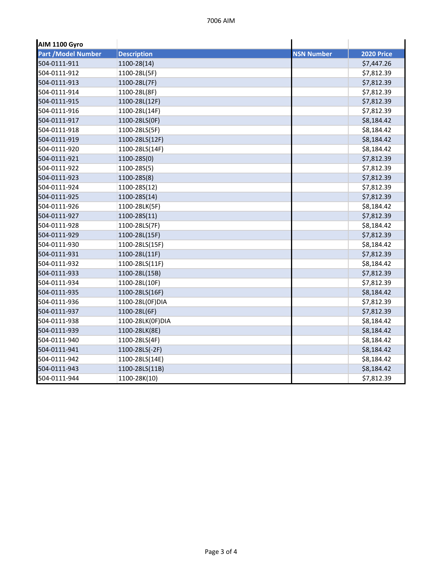| AIM 1100 Gyro             |                    |                   |                   |
|---------------------------|--------------------|-------------------|-------------------|
| <b>Part /Model Number</b> | <b>Description</b> | <b>NSN Number</b> | <b>2020 Price</b> |
| 504-0111-911              | 1100-28(14)        |                   | \$7,447.26        |
| 504-0111-912              | 1100-28L(5F)       |                   | \$7,812.39        |
| 504-0111-913              | 1100-28L(7F)       |                   | \$7,812.39        |
| 504-0111-914              | 1100-28L(8F)       |                   | \$7,812.39        |
| 504-0111-915              | 1100-28L(12F)      |                   | \$7,812.39        |
| 504-0111-916              | 1100-28L(14F)      |                   | \$7,812.39        |
| 504-0111-917              | 1100-28LS(0F)      |                   | \$8,184.42        |
| 504-0111-918              | 1100-28LS(5F)      |                   | \$8,184.42        |
| 504-0111-919              | 1100-28LS(12F)     |                   | \$8,184.42        |
| 504-0111-920              | 1100-28LS(14F)     |                   | \$8,184.42        |
| 504-0111-921              | 1100-28S(0)        |                   | \$7,812.39        |
| 504-0111-922              | 1100-28S(5)        |                   | \$7,812.39        |
| 504-0111-923              | 1100-28S(8)        |                   | \$7,812.39        |
| 504-0111-924              | 1100-28S(12)       |                   | \$7,812.39        |
| 504-0111-925              | 1100-28S(14)       |                   | \$7,812.39        |
| 504-0111-926              | 1100-28LK(5F)      |                   | \$8,184.42        |
| 504-0111-927              | 1100-28S(11)       |                   | \$7,812.39        |
| 504-0111-928              | 1100-28LS(7F)      |                   | \$8,184.42        |
| 504-0111-929              | 1100-28L(15F)      |                   | \$7,812.39        |
| 504-0111-930              | 1100-28LS(15F)     |                   | \$8,184.42        |
| 504-0111-931              | 1100-28L(11F)      |                   | \$7,812.39        |
| 504-0111-932              | 1100-28LS(11F)     |                   | \$8,184.42        |
| 504-0111-933              | 1100-28L(15B)      |                   | \$7,812.39        |
| 504-0111-934              | 1100-28L(10F)      |                   | \$7,812.39        |
| 504-0111-935              | 1100-28LS(16F)     |                   | \$8,184.42        |
| 504-0111-936              | 1100-28L(0F)DIA    |                   | \$7,812.39        |
| 504-0111-937              | 1100-28L(6F)       |                   | \$7,812.39        |
| 504-0111-938              | 1100-28LK(0F)DIA   |                   | \$8,184.42        |
| 504-0111-939              | 1100-28LK(8E)      |                   | \$8,184.42        |
| 504-0111-940              | 1100-28LS(4F)      |                   | \$8,184.42        |
| 504-0111-941              | 1100-28LS(-2F)     |                   | \$8,184.42        |
| 504-0111-942              | 1100-28LS(14E)     |                   | \$8,184.42        |
| 504-0111-943              | 1100-28LS(11B)     |                   | \$8,184.42        |
| 504-0111-944              | 1100-28K(10)       |                   | \$7,812.39        |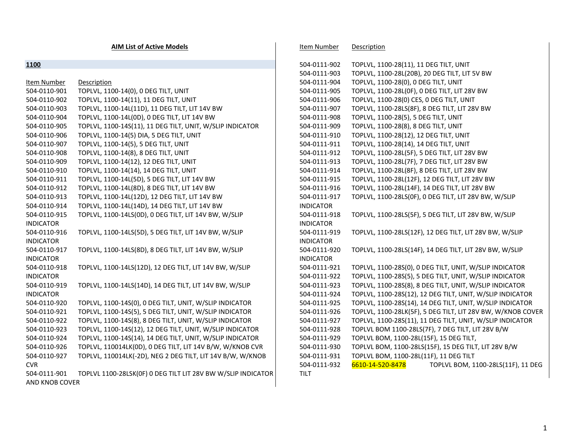**AIM List of Active Models**

| 1100             |                                                              | 504-0111-902     | TOPLVL, 1100-28(11), 11 DEG TILT, UNIT                      |
|------------------|--------------------------------------------------------------|------------------|-------------------------------------------------------------|
|                  |                                                              | 504-0111-903     | TOPLVL, 1100-28L(20B), 20 DEG TILT, LIT 5V BW               |
| Item Number      | Description                                                  | 504-0111-904     | TOPLVL, 1100-28(0), 0 DEG TILT, UNIT                        |
| 504-0110-901     | TOPLVL, 1100-14(0), 0 DEG TILT, UNIT                         | 504-0111-905     | TOPLVL, 1100-28L(0F), 0 DEG TILT, LIT 28V BW                |
| 504-0110-902     | TOPLVL, 1100-14(11), 11 DEG TILT, UNIT                       | 504-0111-906     | TOPLVL, 1100-28(0) CES, 0 DEG TILT, UNIT                    |
| 504-0110-903     | TOPLVL, 1100-14L(11D), 11 DEG TILT, LIT 14V BW               | 504-0111-907     | TOPLVL, 1100-28LS(8F), 8 DEG TILT, LIT 28V BW               |
| 504-0110-904     | TOPLVL, 1100-14L(0D), 0 DEG TILT, LIT 14V BW                 | 504-0111-908     | TOPLVL, 1100-28(5), 5 DEG TILT, UNIT                        |
| 504-0110-905     | TOPLVL, 1100-14S(11), 11 DEG TILT, UNIT, W/SLIP INDICATOR    | 504-0111-909     | TOPLVL, 1100-28(8), 8 DEG TILT, UNIT                        |
| 504-0110-906     | TOPLVL, 1100-14(5) DIA, 5 DEG TILT, UNIT                     | 504-0111-910     | TOPLVL, 1100-28(12), 12 DEG TILT, UNIT                      |
| 504-0110-907     | TOPLVL, 1100-14(5), 5 DEG TILT, UNIT                         | 504-0111-911     | TOPLVL, 1100-28(14), 14 DEG TILT, UNIT                      |
| 504-0110-908     | TOPLVL, 1100-14(8), 8 DEG TILT, UNIT                         | 504-0111-912     | TOPLVL, 1100-28L(5F), 5 DEG TILT, LIT 28V BW                |
| 504-0110-909     | TOPLVL, 1100-14(12), 12 DEG TILT, UNIT                       | 504-0111-913     | TOPLVL, 1100-28L(7F), 7 DEG TILT, LIT 28V BW                |
| 504-0110-910     | TOPLVL, 1100-14(14), 14 DEG TILT, UNIT                       | 504-0111-914     | TOPLVL, 1100-28L(8F), 8 DEG TILT, LIT 28V BW                |
| 504-0110-911     | TOPLVL, 1100-14L(5D), 5 DEG TILT, LIT 14V BW                 | 504-0111-915     | TOPLVL, 1100-28L(12F), 12 DEG TILT, LIT 28V BW              |
| 504-0110-912     | TOPLVL, 1100-14L(8D), 8 DEG TILT, LIT 14V BW                 | 504-0111-916     | TOPLVL, 1100-28L(14F), 14 DEG TILT, LIT 28V BW              |
| 504-0110-913     | TOPLVL, 1100-14L(12D), 12 DEG TILT, LIT 14V BW               | 504-0111-917     | TOPLVL, 1100-28LS(OF), 0 DEG TILT, LIT 28V BW, W/SLIP       |
| 504-0110-914     | TOPLVL, 1100-14L(14D), 14 DEG TILT, LIT 14V BW               | <b>INDICATOR</b> |                                                             |
| 504-0110-915     | TOPLVL, 1100-14LS(0D), 0 DEG TILT, LIT 14V BW, W/SLIP        | 504-0111-918     | TOPLVL, 1100-28LS(5F), 5 DEG TILT, LIT 28V BW, W/SLIP       |
| <b>INDICATOR</b> |                                                              | <b>INDICATOR</b> |                                                             |
| 504-0110-916     | TOPLVL, 1100-14LS(5D), 5 DEG TILT, LIT 14V BW, W/SLIP        | 504-0111-919     | TOPLVL, 1100-28LS(12F), 12 DEG TILT, LIT 28V BW, W/SLIP     |
| <b>INDICATOR</b> |                                                              | <b>INDICATOR</b> |                                                             |
| 504-0110-917     | TOPLVL, 1100-14LS(8D), 8 DEG TILT, LIT 14V BW, W/SLIP        | 504-0111-920     | TOPLVL, 1100-28LS(14F), 14 DEG TILT, LIT 28V BW, W/SLIP     |
| <b>INDICATOR</b> |                                                              | <b>INDICATOR</b> |                                                             |
| 504-0110-918     | TOPLVL, 1100-14LS(12D), 12 DEG TILT, LIT 14V BW, W/SLIP      | 504-0111-921     | TOPLVL, 1100-28S(0), 0 DEG TILT, UNIT, W/SLIP INDICATOR     |
| <b>INDICATOR</b> |                                                              | 504-0111-922     | TOPLVL, 1100-28S(5), 5 DEG TILT, UNIT, W/SLIP INDICATOR     |
| 504-0110-919     | TOPLVL, 1100-14LS(14D), 14 DEG TILT, LIT 14V BW, W/SLIP      | 504-0111-923     | TOPLVL, 1100-28S(8), 8 DEG TILT, UNIT, W/SLIP INDICATOR     |
| <b>INDICATOR</b> |                                                              | 504-0111-924     | TOPLVL, 1100-28S(12), 12 DEG TILT, UNIT, W/SLIP INDICATOR   |
| 504-0110-920     | TOPLVL, 1100-14S(0), 0 DEG TILT, UNIT, W/SLIP INDICATOR      | 504-0111-925     | TOPLVL, 1100-28S(14), 14 DEG TILT, UNIT, W/SLIP INDICATOR   |
| 504-0110-921     | TOPLVL, 1100-14S(5), 5 DEG TILT, UNIT, W/SLIP INDICATOR      | 504-0111-926     | TOPLVL, 1100-28LK(5F), 5 DEG TILT, LIT 28V BW, W/KNOB COVER |
| 504-0110-922     | TOPLVL, 1100-14S(8), 8 DEG TILT, UNIT, W/SLIP INDICATOR      | 504-0111-927     | TOPLVL, 1100-28S(11), 11 DEG TILT, UNIT, W/SLIP INDICATOR   |
| 504-0110-923     | TOPLVL, 1100-14S(12), 12 DEG TILT, UNIT, W/SLIP INDICATOR    | 504-0111-928     | TOPLVL BOM 1100-28LS(7F), 7 DEG TILT, LIT 28V B/W           |
| 504-0110-924     | TOPLVL, 1100-14S(14), 14 DEG TILT, UNIT, W/SLIP INDICATOR    | 504-0111-929     | TOPLVL BOM, 1100-28L(15F), 15 DEG TILT,                     |
| 504-0110-926     | TOPLVL, 110014LK(0D), 0 DEG TILT, LIT 14V B/W, W/KNOB CVR    | 504-0111-930     | TOPLVL BOM, 1100-28LS(15F), 15 DEG TILT, LIT 28V B/W        |
| 504-0110-927     | TOPLVL, 110014LK(-2D), NEG 2 DEG TILT, LIT 14V B/W, W/KNOB   | 504-0111-931     | TOPLVL BOM, 1100-28L(11F), 11 DEG TILT                      |
| <b>CVR</b>       |                                                              | 504-0111-932     | 6610-14-520-8478<br>TOPLVL BOM, 1100-28LS(11F), 11 DEG      |
| 504-0111-901     | TOPLVL 1100-28LSK(0F) 0 DEG TILT LIT 28V BW W/SLIP INDICATOR | TILT             |                                                             |
| AND KNOB COVER   |                                                              |                  |                                                             |

Item Number Description